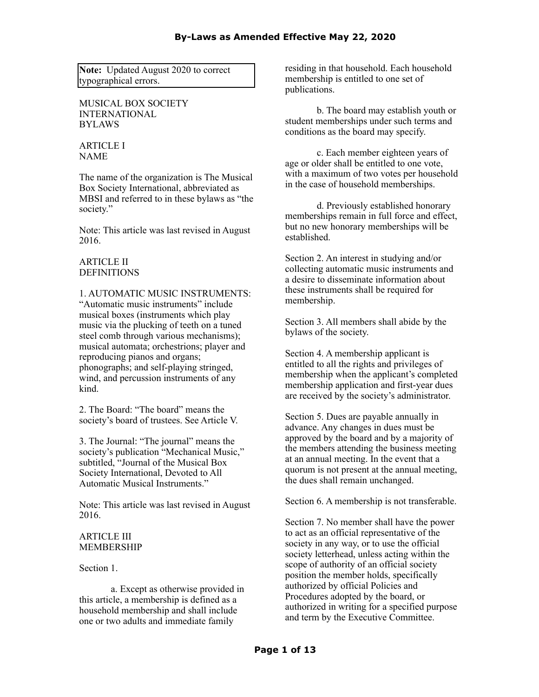**Note:** Updated August 2020 to correct typographical errors.

MUSICAL BOX SOCIETY INTERNATIONAL BYLAWS

ARTICLE I NAME

The name of the organization is The Musical Box Society International, abbreviated as MBSI and referred to in these bylaws as "the society."

Note: This article was last revised in August 2016.

# ARTICLE II DEFINITIONS

### 1. AUTOMATIC MUSIC INSTRUMENTS:

"Automatic music instruments" include musical boxes (instruments which play music via the plucking of teeth on a tuned steel comb through various mechanisms); musical automata; orchestrions; player and reproducing pianos and organs; phonographs; and self-playing stringed, wind, and percussion instruments of any kind.

2. The Board: "The board" means the society's board of trustees. See Article V.

3. The Journal: "The journal" means the society's publication "Mechanical Music," subtitled, "Journal of the Musical Box Society International, Devoted to All Automatic Musical Instruments."

Note: This article was last revised in August 2016.

# ARTICLE III MEMBERSHIP

Section 1.

a. Except as otherwise provided in this article, a membership is defined as a household membership and shall include one or two adults and immediate family

residing in that household. Each household membership is entitled to one set of publications.

b. The board may establish youth or student memberships under such terms and conditions as the board may specify.

c. Each member eighteen years of age or older shall be entitled to one vote, with a maximum of two votes per household in the case of household memberships.

d. Previously established honorary memberships remain in full force and effect, but no new honorary memberships will be established.

Section 2. An interest in studying and/or collecting automatic music instruments and a desire to disseminate information about these instruments shall be required for membership.

Section 3. All members shall abide by the bylaws of the society.

Section 4. A membership applicant is entitled to all the rights and privileges of membership when the applicant's completed membership application and first-year dues are received by the society's administrator.

Section 5. Dues are payable annually in advance. Any changes in dues must be approved by the board and by a majority of the members attending the business meeting at an annual meeting. In the event that a quorum is not present at the annual meeting, the dues shall remain unchanged.

Section 6. A membership is not transferable.

Section 7. No member shall have the power to act as an official representative of the society in any way, or to use the official society letterhead, unless acting within the scope of authority of an official society position the member holds, specifically authorized by official Policies and Procedures adopted by the board, or authorized in writing for a specified purpose and term by the Executive Committee.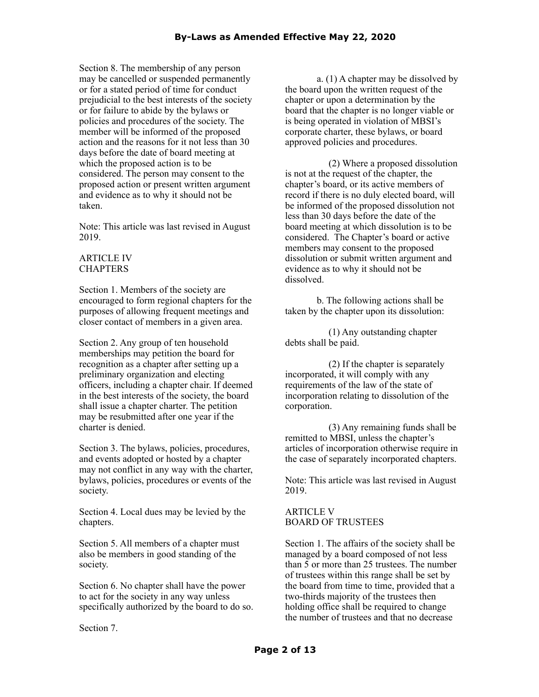Section 8. The membership of any person may be cancelled or suspended permanently or for a stated period of time for conduct prejudicial to the best interests of the society or for failure to abide by the bylaws or policies and procedures of the society. The member will be informed of the proposed action and the reasons for it not less than 30 days before the date of board meeting at which the proposed action is to be considered. The person may consent to the proposed action or present written argument and evidence as to why it should not be taken.

Note: This article was last revised in August 2019.

## ARTICLE IV **CHAPTERS**

Section 1. Members of the society are encouraged to form regional chapters for the purposes of allowing frequent meetings and closer contact of members in a given area.

Section 2. Any group of ten household memberships may petition the board for recognition as a chapter after setting up a preliminary organization and electing officers, including a chapter chair. If deemed in the best interests of the society, the board shall issue a chapter charter. The petition may be resubmitted after one year if the charter is denied.

Section 3. The bylaws, policies, procedures, and events adopted or hosted by a chapter may not conflict in any way with the charter, bylaws, policies, procedures or events of the society.

Section 4. Local dues may be levied by the chapters.

Section 5. All members of a chapter must also be members in good standing of the society.

Section 6. No chapter shall have the power to act for the society in any way unless specifically authorized by the board to do so.

Section 7.

a. (1) A chapter may be dissolved by the board upon the written request of the chapter or upon a determination by the board that the chapter is no longer viable or is being operated in violation of MBSI's corporate charter, these bylaws, or board approved policies and procedures.

(2) Where a proposed dissolution is not at the request of the chapter, the chapter's board, or its active members of record if there is no duly elected board, will be informed of the proposed dissolution not less than 30 days before the date of the board meeting at which dissolution is to be considered. The Chapter's board or active members may consent to the proposed dissolution or submit written argument and evidence as to why it should not be dissolved.

b. The following actions shall be taken by the chapter upon its dissolution:

(1) Any outstanding chapter debts shall be paid.

(2) If the chapter is separately incorporated, it will comply with any requirements of the law of the state of incorporation relating to dissolution of the corporation.

(3) Any remaining funds shall be remitted to MBSI, unless the chapter's articles of incorporation otherwise require in the case of separately incorporated chapters.

Note: This article was last revised in August 2019.

### ARTICLE V BOARD OF TRUSTEES

Section 1. The affairs of the society shall be managed by a board composed of not less than 5 or more than 25 trustees. The number of trustees within this range shall be set by the board from time to time, provided that a two-thirds majority of the trustees then holding office shall be required to change the number of trustees and that no decrease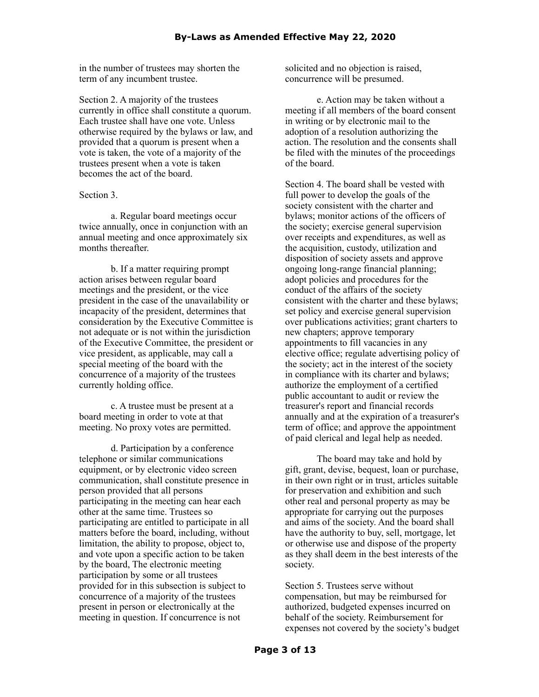in the number of trustees may shorten the term of any incumbent trustee.

Section 2. A majority of the trustees currently in office shall constitute a quorum. Each trustee shall have one vote. Unless otherwise required by the bylaws or law, and provided that a quorum is present when a vote is taken, the vote of a majority of the trustees present when a vote is taken becomes the act of the board.

Section 3.

a. Regular board meetings occur twice annually, once in conjunction with an annual meeting and once approximately six months thereafter.

b. If a matter requiring prompt action arises between regular board meetings and the president, or the vice president in the case of the unavailability or incapacity of the president, determines that consideration by the Executive Committee is not adequate or is not within the jurisdiction of the Executive Committee, the president or vice president, as applicable, may call a special meeting of the board with the concurrence of a majority of the trustees currently holding office.

c. A trustee must be present at a board meeting in order to vote at that meeting. No proxy votes are permitted.

d. Participation by a conference telephone or similar communications equipment, or by electronic video screen communication, shall constitute presence in person provided that all persons participating in the meeting can hear each other at the same time. Trustees so participating are entitled to participate in all matters before the board, including, without limitation, the ability to propose, object to, and vote upon a specific action to be taken by the board, The electronic meeting participation by some or all trustees provided for in this subsection is subject to concurrence of a majority of the trustees present in person or electronically at the meeting in question. If concurrence is not

solicited and no objection is raised, concurrence will be presumed.

e. Action may be taken without a meeting if all members of the board consent in writing or by electronic mail to the adoption of a resolution authorizing the action. The resolution and the consents shall be filed with the minutes of the proceedings of the board.

Section 4. The board shall be vested with full power to develop the goals of the society consistent with the charter and bylaws; monitor actions of the officers of the society; exercise general supervision over receipts and expenditures, as well as the acquisition, custody, utilization and disposition of society assets and approve ongoing long-range financial planning; adopt policies and procedures for the conduct of the affairs of the society consistent with the charter and these bylaws; set policy and exercise general supervision over publications activities; grant charters to new chapters; approve temporary appointments to fill vacancies in any elective office; regulate advertising policy of the society; act in the interest of the society in compliance with its charter and bylaws; authorize the employment of a certified public accountant to audit or review the treasurer's report and financial records annually and at the expiration of a treasurer's term of office; and approve the appointment of paid clerical and legal help as needed.

The board may take and hold by gift, grant, devise, bequest, loan or purchase, in their own right or in trust, articles suitable for preservation and exhibition and such other real and personal property as may be appropriate for carrying out the purposes and aims of the society. And the board shall have the authority to buy, sell, mortgage, let or otherwise use and dispose of the property as they shall deem in the best interests of the society.

Section 5. Trustees serve without compensation, but may be reimbursed for authorized, budgeted expenses incurred on behalf of the society. Reimbursement for expenses not covered by the society's budget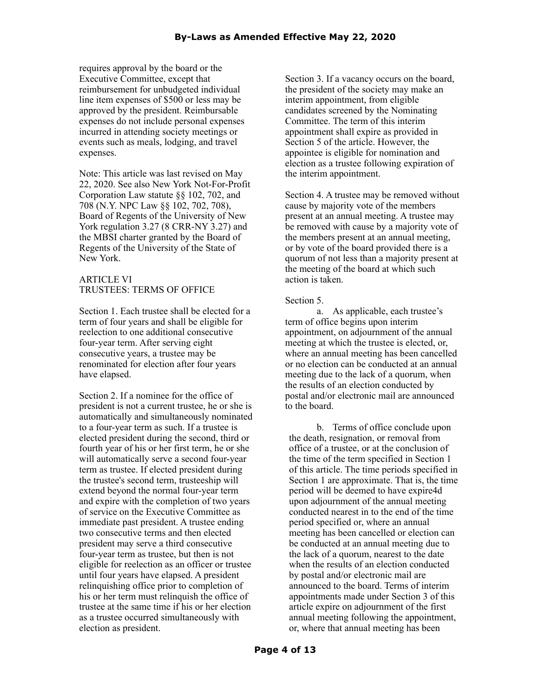requires approval by the board or the Executive Committee, except that reimbursement for unbudgeted individual line item expenses of \$500 or less may be approved by the president. Reimbursable expenses do not include personal expenses incurred in attending society meetings or events such as meals, lodging, and travel expenses.

Note: This article was last revised on May 22, 2020. See also New York Not-For-Profit Corporation Law statute §§ 102, 702, and 708 (N.Y. NPC Law §§ 102, 702, 708), Board of Regents of the University of New York regulation 3.27 (8 CRR-NY 3.27) and the MBSI charter granted by the Board of Regents of the University of the State of New York.

# ARTICLE VI TRUSTEES: TERMS OF OFFICE

Section 1. Each trustee shall be elected for a term of four years and shall be eligible for reelection to one additional consecutive four-year term. After serving eight consecutive years, a trustee may be renominated for election after four years have elapsed.

Section 2. If a nominee for the office of president is not a current trustee, he or she is automatically and simultaneously nominated to a four-year term as such. If a trustee is elected president during the second, third or fourth year of his or her first term, he or she will automatically serve a second four-year term as trustee. If elected president during the trustee's second term, trusteeship will extend beyond the normal four-year term and expire with the completion of two years of service on the Executive Committee as immediate past president. A trustee ending two consecutive terms and then elected president may serve a third consecutive four-year term as trustee, but then is not eligible for reelection as an officer or trustee until four years have elapsed. A president relinquishing office prior to completion of his or her term must relinquish the office of trustee at the same time if his or her election as a trustee occurred simultaneously with election as president.

Section 3. If a vacancy occurs on the board. the president of the society may make an interim appointment, from eligible candidates screened by the Nominating Committee. The term of this interim appointment shall expire as provided in Section 5 of the article. However, the appointee is eligible for nomination and election as a trustee following expiration of the interim appointment.

Section 4. A trustee may be removed without cause by majority vote of the members present at an annual meeting. A trustee may be removed with cause by a majority vote of the members present at an annual meeting, or by vote of the board provided there is a quorum of not less than a majority present at the meeting of the board at which such action is taken.

### Section 5.

a. As applicable, each trustee's term of office begins upon interim appointment, on adjournment of the annual meeting at which the trustee is elected, or, where an annual meeting has been cancelled or no election can be conducted at an annual meeting due to the lack of a quorum, when the results of an election conducted by postal and/or electronic mail are announced to the board.

b. Terms of office conclude upon the death, resignation, or removal from office of a trustee, or at the conclusion of the time of the term specified in Section 1 of this article. The time periods specified in Section 1 are approximate. That is, the time period will be deemed to have expire4d upon adjournment of the annual meeting conducted nearest in to the end of the time period specified or, where an annual meeting has been cancelled or election can be conducted at an annual meeting due to the lack of a quorum, nearest to the date when the results of an election conducted by postal and/or electronic mail are announced to the board. Terms of interim appointments made under Section 3 of this article expire on adjournment of the first annual meeting following the appointment, or, where that annual meeting has been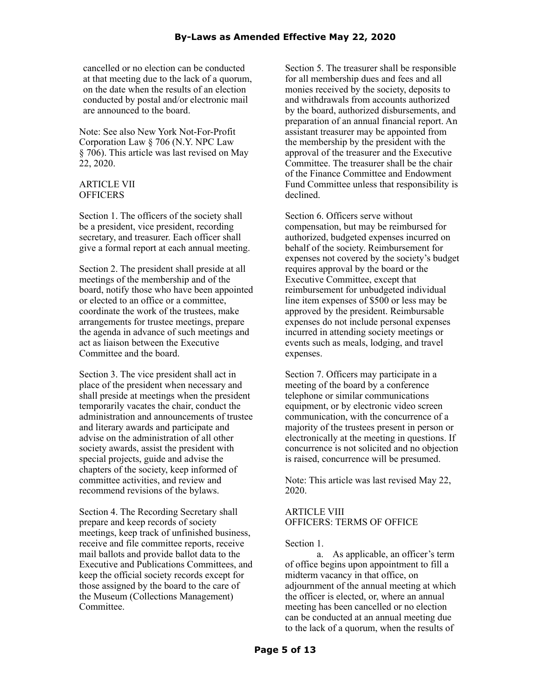cancelled or no election can be conducted at that meeting due to the lack of a quorum, on the date when the results of an election conducted by postal and/or electronic mail are announced to the board.

Note: See also New York Not-For-Profit Corporation Law § 706 (N.Y. NPC Law § 706). This article was last revised on May 22, 2020.

### ARTICLE VII **OFFICERS**

Section 1. The officers of the society shall be a president, vice president, recording secretary, and treasurer. Each officer shall give a formal report at each annual meeting.

Section 2. The president shall preside at all meetings of the membership and of the board, notify those who have been appointed or elected to an office or a committee, coordinate the work of the trustees, make arrangements for trustee meetings, prepare the agenda in advance of such meetings and act as liaison between the Executive Committee and the board.

Section 3. The vice president shall act in place of the president when necessary and shall preside at meetings when the president temporarily vacates the chair, conduct the administration and announcements of trustee and literary awards and participate and advise on the administration of all other society awards, assist the president with special projects, guide and advise the chapters of the society, keep informed of committee activities, and review and recommend revisions of the bylaws.

Section 4. The Recording Secretary shall prepare and keep records of society meetings, keep track of unfinished business, receive and file committee reports, receive mail ballots and provide ballot data to the Executive and Publications Committees, and keep the official society records except for those assigned by the board to the care of the Museum (Collections Management) **Committee** 

Section 5. The treasurer shall be responsible for all membership dues and fees and all monies received by the society, deposits to and withdrawals from accounts authorized by the board, authorized disbursements, and preparation of an annual financial report. An assistant treasurer may be appointed from the membership by the president with the approval of the treasurer and the Executive Committee. The treasurer shall be the chair of the Finance Committee and Endowment Fund Committee unless that responsibility is declined.

Section 6. Officers serve without compensation, but may be reimbursed for authorized, budgeted expenses incurred on behalf of the society. Reimbursement for expenses not covered by the society's budget requires approval by the board or the Executive Committee, except that reimbursement for unbudgeted individual line item expenses of \$500 or less may be approved by the president. Reimbursable expenses do not include personal expenses incurred in attending society meetings or events such as meals, lodging, and travel expenses.

Section 7. Officers may participate in a meeting of the board by a conference telephone or similar communications equipment, or by electronic video screen communication, with the concurrence of a majority of the trustees present in person or electronically at the meeting in questions. If concurrence is not solicited and no objection is raised, concurrence will be presumed.

Note: This article was last revised May 22, 2020.

### ARTICLE VIII OFFICERS: TERMS OF OFFICE

### Section 1.

a. As applicable, an officer's term of office begins upon appointment to fill a midterm vacancy in that office, on adjournment of the annual meeting at which the officer is elected, or, where an annual meeting has been cancelled or no election can be conducted at an annual meeting due to the lack of a quorum, when the results of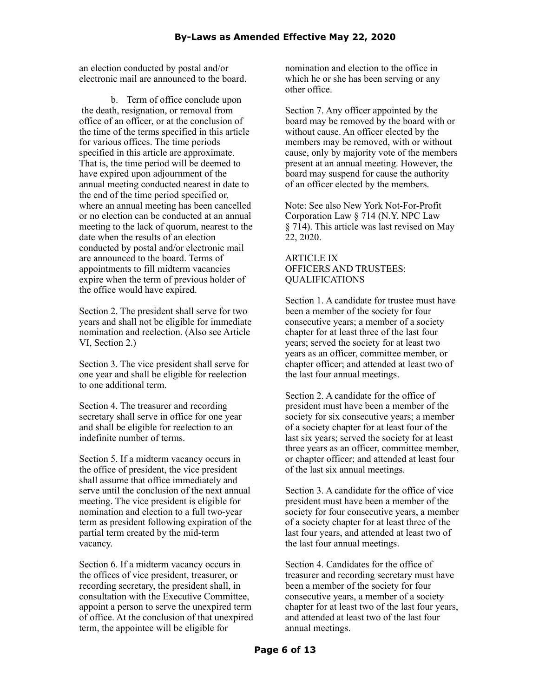an election conducted by postal and/or electronic mail are announced to the board.

b. Term of office conclude upon the death, resignation, or removal from office of an officer, or at the conclusion of the time of the terms specified in this article for various offices. The time periods specified in this article are approximate. That is, the time period will be deemed to have expired upon adjournment of the annual meeting conducted nearest in date to the end of the time period specified or, where an annual meeting has been cancelled or no election can be conducted at an annual meeting to the lack of quorum, nearest to the date when the results of an election conducted by postal and/or electronic mail are announced to the board. Terms of appointments to fill midterm vacancies expire when the term of previous holder of the office would have expired.

Section 2. The president shall serve for two years and shall not be eligible for immediate nomination and reelection. (Also see Article VI, Section 2.)

Section 3. The vice president shall serve for one year and shall be eligible for reelection to one additional term.

Section 4. The treasurer and recording secretary shall serve in office for one year and shall be eligible for reelection to an indefinite number of terms.

Section 5. If a midterm vacancy occurs in the office of president, the vice president shall assume that office immediately and serve until the conclusion of the next annual meeting. The vice president is eligible for nomination and election to a full two-year term as president following expiration of the partial term created by the mid-term vacancy.

Section 6. If a midterm vacancy occurs in the offices of vice president, treasurer, or recording secretary, the president shall, in consultation with the Executive Committee, appoint a person to serve the unexpired term of office. At the conclusion of that unexpired term, the appointee will be eligible for

nomination and election to the office in which he or she has been serving or any other office.

Section 7. Any officer appointed by the board may be removed by the board with or without cause. An officer elected by the members may be removed, with or without cause, only by majority vote of the members present at an annual meeting. However, the board may suspend for cause the authority of an officer elected by the members.

Note: See also New York Not-For-Profit Corporation Law § 714 (N.Y. NPC Law § 714). This article was last revised on May 22, 2020.

# ARTICLE IX OFFICERS AND TRUSTEES: QUALIFICATIONS

Section 1. A candidate for trustee must have been a member of the society for four consecutive years; a member of a society chapter for at least three of the last four years; served the society for at least two years as an officer, committee member, or chapter officer; and attended at least two of the last four annual meetings.

Section 2. A candidate for the office of president must have been a member of the society for six consecutive years; a member of a society chapter for at least four of the last six years; served the society for at least three years as an officer, committee member, or chapter officer; and attended at least four of the last six annual meetings.

Section 3. A candidate for the office of vice president must have been a member of the society for four consecutive years, a member of a society chapter for at least three of the last four years, and attended at least two of the last four annual meetings.

Section 4. Candidates for the office of treasurer and recording secretary must have been a member of the society for four consecutive years, a member of a society chapter for at least two of the last four years, and attended at least two of the last four annual meetings.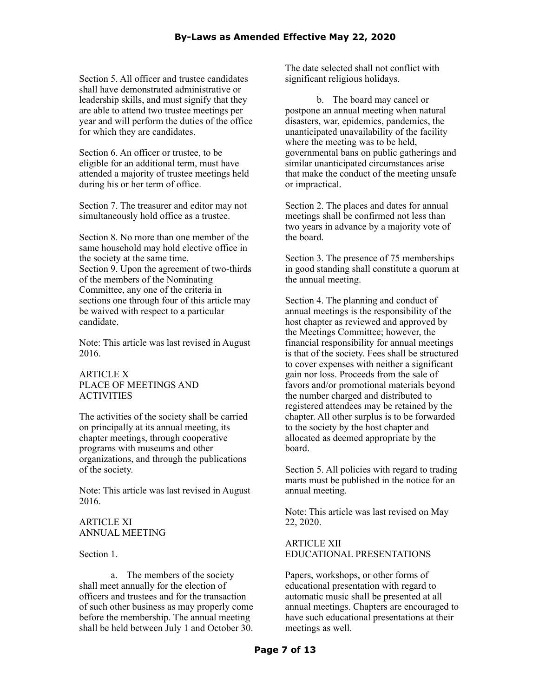Section 5. All officer and trustee candidates shall have demonstrated administrative or leadership skills, and must signify that they are able to attend two trustee meetings per year and will perform the duties of the office for which they are candidates.

Section 6. An officer or trustee, to be eligible for an additional term, must have attended a majority of trustee meetings held during his or her term of office.

Section 7. The treasurer and editor may not simultaneously hold office as a trustee.

Section 8. No more than one member of the same household may hold elective office in the society at the same time. Section 9. Upon the agreement of two-thirds of the members of the Nominating Committee, any one of the criteria in sections one through four of this article may be waived with respect to a particular candidate.

Note: This article was last revised in August 2016.

# ARTICLE X PLACE OF MEETINGS AND ACTIVITIES

The activities of the society shall be carried on principally at its annual meeting, its chapter meetings, through cooperative programs with museums and other organizations, and through the publications of the society.

Note: This article was last revised in August 2016.

# ARTICLE XI ANNUAL MEETING

Section 1.

a. The members of the society shall meet annually for the election of officers and trustees and for the transaction of such other business as may properly come before the membership. The annual meeting shall be held between July 1 and October 30.

The date selected shall not conflict with significant religious holidays.

b. The board may cancel or postpone an annual meeting when natural disasters, war, epidemics, pandemics, the unanticipated unavailability of the facility where the meeting was to be held, governmental bans on public gatherings and similar unanticipated circumstances arise that make the conduct of the meeting unsafe or impractical.

Section 2. The places and dates for annual meetings shall be confirmed not less than two years in advance by a majority vote of the board.

Section 3. The presence of 75 memberships in good standing shall constitute a quorum at the annual meeting.

Section 4. The planning and conduct of annual meetings is the responsibility of the host chapter as reviewed and approved by the Meetings Committee; however, the financial responsibility for annual meetings is that of the society. Fees shall be structured to cover expenses with neither a significant gain nor loss. Proceeds from the sale of favors and/or promotional materials beyond the number charged and distributed to registered attendees may be retained by the chapter. All other surplus is to be forwarded to the society by the host chapter and allocated as deemed appropriate by the board.

Section 5. All policies with regard to trading marts must be published in the notice for an annual meeting.

Note: This article was last revised on May 22, 2020.

# ARTICLE XII EDUCATIONAL PRESENTATIONS

Papers, workshops, or other forms of educational presentation with regard to automatic music shall be presented at all annual meetings. Chapters are encouraged to have such educational presentations at their meetings as well.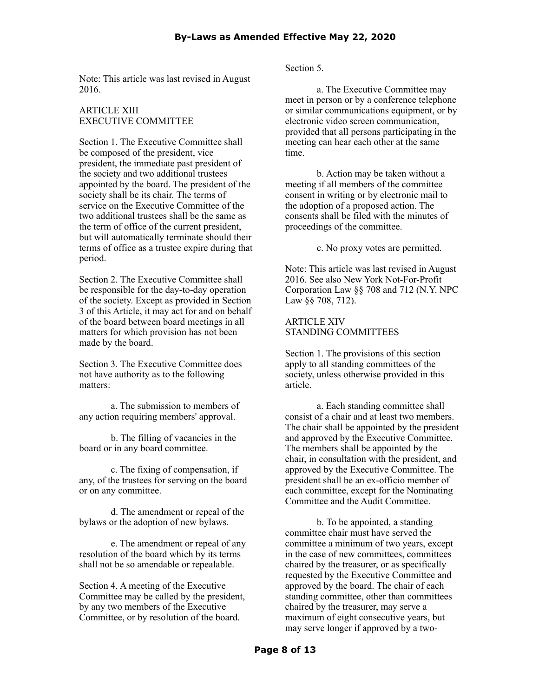Note: This article was last revised in August 2016.

## ARTICLE XIII EXECUTIVE COMMITTEE

Section 1. The Executive Committee shall be composed of the president, vice president, the immediate past president of the society and two additional trustees appointed by the board. The president of the society shall be its chair. The terms of service on the Executive Committee of the two additional trustees shall be the same as the term of office of the current president, but will automatically terminate should their terms of office as a trustee expire during that period.

Section 2. The Executive Committee shall be responsible for the day-to-day operation of the society. Except as provided in Section 3 of this Article, it may act for and on behalf of the board between board meetings in all matters for which provision has not been made by the board.

Section 3. The Executive Committee does not have authority as to the following matters:

a. The submission to members of any action requiring members' approval.

b. The filling of vacancies in the board or in any board committee.

c. The fixing of compensation, if any, of the trustees for serving on the board or on any committee.

d. The amendment or repeal of the bylaws or the adoption of new bylaws.

e. The amendment or repeal of any resolution of the board which by its terms shall not be so amendable or repealable.

Section 4. A meeting of the Executive Committee may be called by the president, by any two members of the Executive Committee, or by resolution of the board.

Section 5.

a. The Executive Committee may meet in person or by a conference telephone or similar communications equipment, or by electronic video screen communication, provided that all persons participating in the meeting can hear each other at the same time.

b. Action may be taken without a meeting if all members of the committee consent in writing or by electronic mail to the adoption of a proposed action. The consents shall be filed with the minutes of proceedings of the committee.

c. No proxy votes are permitted.

Note: This article was last revised in August 2016. See also New York Not-For-Profit Corporation Law §§ 708 and 712 (N.Y. NPC Law §§ 708, 712).

# ARTICLE XIV STANDING COMMITTEES

Section 1. The provisions of this section apply to all standing committees of the society, unless otherwise provided in this article.

a. Each standing committee shall consist of a chair and at least two members. The chair shall be appointed by the president and approved by the Executive Committee. The members shall be appointed by the chair, in consultation with the president, and approved by the Executive Committee. The president shall be an ex-officio member of each committee, except for the Nominating Committee and the Audit Committee.

b. To be appointed, a standing committee chair must have served the committee a minimum of two years, except in the case of new committees, committees chaired by the treasurer, or as specifically requested by the Executive Committee and approved by the board. The chair of each standing committee, other than committees chaired by the treasurer, may serve a maximum of eight consecutive years, but may serve longer if approved by a two-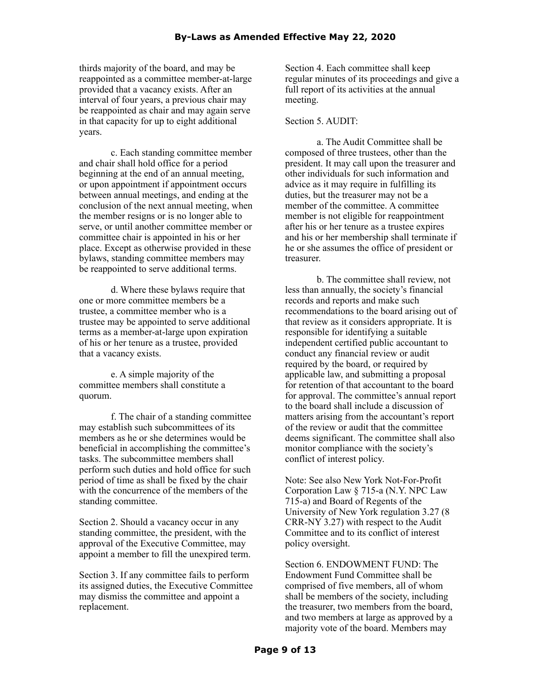thirds majority of the board, and may be reappointed as a committee member-at-large provided that a vacancy exists. After an interval of four years, a previous chair may be reappointed as chair and may again serve in that capacity for up to eight additional years.

c. Each standing committee member and chair shall hold office for a period beginning at the end of an annual meeting, or upon appointment if appointment occurs between annual meetings, and ending at the conclusion of the next annual meeting, when the member resigns or is no longer able to serve, or until another committee member or committee chair is appointed in his or her place. Except as otherwise provided in these bylaws, standing committee members may be reappointed to serve additional terms.

d. Where these bylaws require that one or more committee members be a trustee, a committee member who is a trustee may be appointed to serve additional terms as a member-at-large upon expiration of his or her tenure as a trustee, provided that a vacancy exists.

e. A simple majority of the committee members shall constitute a quorum.

f. The chair of a standing committee may establish such subcommittees of its members as he or she determines would be beneficial in accomplishing the committee's tasks. The subcommittee members shall perform such duties and hold office for such period of time as shall be fixed by the chair with the concurrence of the members of the standing committee.

Section 2. Should a vacancy occur in any standing committee, the president, with the approval of the Executive Committee, may appoint a member to fill the unexpired term.

Section 3. If any committee fails to perform its assigned duties, the Executive Committee may dismiss the committee and appoint a replacement.

Section 4. Each committee shall keep regular minutes of its proceedings and give a full report of its activities at the annual meeting.

### Section 5. AUDIT:

a. The Audit Committee shall be composed of three trustees, other than the president. It may call upon the treasurer and other individuals for such information and advice as it may require in fulfilling its duties, but the treasurer may not be a member of the committee. A committee member is not eligible for reappointment after his or her tenure as a trustee expires and his or her membership shall terminate if he or she assumes the office of president or treasurer.

b. The committee shall review, not less than annually, the society's financial records and reports and make such recommendations to the board arising out of that review as it considers appropriate. It is responsible for identifying a suitable independent certified public accountant to conduct any financial review or audit required by the board, or required by applicable law, and submitting a proposal for retention of that accountant to the board for approval. The committee's annual report to the board shall include a discussion of matters arising from the accountant's report of the review or audit that the committee deems significant. The committee shall also monitor compliance with the society's conflict of interest policy.

Note: See also New York Not-For-Profit Corporation Law § 715-a (N.Y. NPC Law 715-a) and Board of Regents of the University of New York regulation 3.27 (8 CRR-NY 3.27) with respect to the Audit Committee and to its conflict of interest policy oversight.

Section 6. ENDOWMENT FUND: The Endowment Fund Committee shall be comprised of five members, all of whom shall be members of the society, including the treasurer, two members from the board, and two members at large as approved by a majority vote of the board. Members may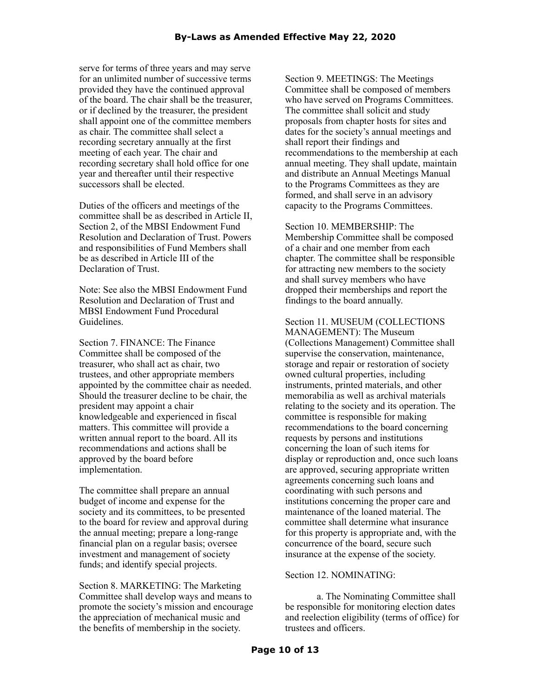serve for terms of three years and may serve for an unlimited number of successive terms provided they have the continued approval of the board. The chair shall be the treasurer, or if declined by the treasurer, the president shall appoint one of the committee members as chair. The committee shall select a recording secretary annually at the first meeting of each year. The chair and recording secretary shall hold office for one year and thereafter until their respective successors shall be elected.

Duties of the officers and meetings of the committee shall be as described in Article II, Section 2, of the MBSI Endowment Fund Resolution and Declaration of Trust. Powers and responsibilities of Fund Members shall be as described in Article III of the Declaration of Trust.

Note: See also the MBSI Endowment Fund Resolution and Declaration of Trust and MBSI Endowment Fund Procedural Guidelines.

Section 7. FINANCE: The Finance Committee shall be composed of the treasurer, who shall act as chair, two trustees, and other appropriate members appointed by the committee chair as needed. Should the treasurer decline to be chair, the president may appoint a chair knowledgeable and experienced in fiscal matters. This committee will provide a written annual report to the board. All its recommendations and actions shall be approved by the board before implementation.

The committee shall prepare an annual budget of income and expense for the society and its committees, to be presented to the board for review and approval during the annual meeting; prepare a long-range financial plan on a regular basis; oversee investment and management of society funds; and identify special projects.

Section 8. MARKETING: The Marketing Committee shall develop ways and means to promote the society's mission and encourage the appreciation of mechanical music and the benefits of membership in the society.

Section 9. MEETINGS: The Meetings Committee shall be composed of members who have served on Programs Committees. The committee shall solicit and study proposals from chapter hosts for sites and dates for the society's annual meetings and shall report their findings and recommendations to the membership at each annual meeting. They shall update, maintain and distribute an Annual Meetings Manual to the Programs Committees as they are formed, and shall serve in an advisory capacity to the Programs Committees.

Section 10. MEMBERSHIP: The Membership Committee shall be composed of a chair and one member from each chapter. The committee shall be responsible for attracting new members to the society and shall survey members who have dropped their memberships and report the findings to the board annually.

Section 11. MUSEUM (COLLECTIONS MANAGEMENT): The Museum (Collections Management) Committee shall supervise the conservation, maintenance, storage and repair or restoration of society owned cultural properties, including instruments, printed materials, and other memorabilia as well as archival materials relating to the society and its operation. The committee is responsible for making recommendations to the board concerning requests by persons and institutions concerning the loan of such items for display or reproduction and, once such loans are approved, securing appropriate written agreements concerning such loans and coordinating with such persons and institutions concerning the proper care and maintenance of the loaned material. The committee shall determine what insurance for this property is appropriate and, with the concurrence of the board, secure such insurance at the expense of the society.

## Section 12. NOMINATING:

a. The Nominating Committee shall be responsible for monitoring election dates and reelection eligibility (terms of office) for trustees and officers.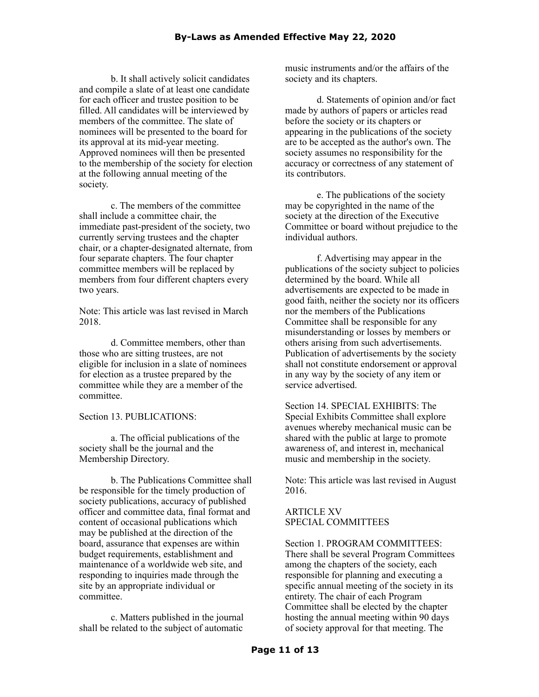b. It shall actively solicit candidates and compile a slate of at least one candidate for each officer and trustee position to be filled. All candidates will be interviewed by members of the committee. The slate of nominees will be presented to the board for its approval at its mid-year meeting. Approved nominees will then be presented to the membership of the society for election at the following annual meeting of the society.

c. The members of the committee shall include a committee chair, the immediate past-president of the society, two currently serving trustees and the chapter chair, or a chapter-designated alternate, from four separate chapters. The four chapter committee members will be replaced by members from four different chapters every two years.

Note: This article was last revised in March 2018.

d. Committee members, other than those who are sitting trustees, are not eligible for inclusion in a slate of nominees for election as a trustee prepared by the committee while they are a member of the committee.

Section 13. PUBLICATIONS:

a. The official publications of the society shall be the journal and the Membership Directory.

b. The Publications Committee shall be responsible for the timely production of society publications, accuracy of published officer and committee data, final format and content of occasional publications which may be published at the direction of the board, assurance that expenses are within budget requirements, establishment and maintenance of a worldwide web site, and responding to inquiries made through the site by an appropriate individual or committee.

c. Matters published in the journal shall be related to the subject of automatic

music instruments and/or the affairs of the society and its chapters.

d. Statements of opinion and/or fact made by authors of papers or articles read before the society or its chapters or appearing in the publications of the society are to be accepted as the author's own. The society assumes no responsibility for the accuracy or correctness of any statement of its contributors.

e. The publications of the society may be copyrighted in the name of the society at the direction of the Executive Committee or board without prejudice to the individual authors.

f. Advertising may appear in the publications of the society subject to policies determined by the board. While all advertisements are expected to be made in good faith, neither the society nor its officers nor the members of the Publications Committee shall be responsible for any misunderstanding or losses by members or others arising from such advertisements. Publication of advertisements by the society shall not constitute endorsement or approval in any way by the society of any item or service advertised.

Section 14. SPECIAL EXHIBITS: The Special Exhibits Committee shall explore avenues whereby mechanical music can be shared with the public at large to promote awareness of, and interest in, mechanical music and membership in the society.

Note: This article was last revised in August 2016.

## ARTICLE XV SPECIAL COMMITTEES

Section 1. PROGRAM COMMITTEES: There shall be several Program Committees among the chapters of the society, each responsible for planning and executing a specific annual meeting of the society in its entirety. The chair of each Program Committee shall be elected by the chapter hosting the annual meeting within 90 days of society approval for that meeting. The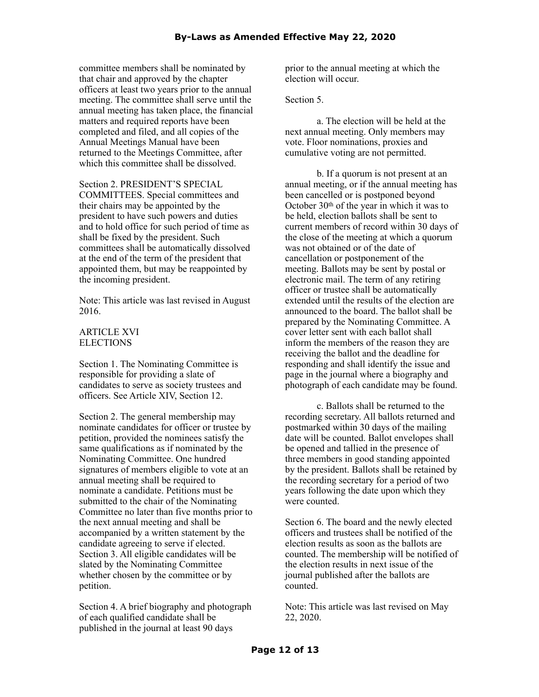committee members shall be nominated by that chair and approved by the chapter officers at least two years prior to the annual meeting. The committee shall serve until the annual meeting has taken place, the financial matters and required reports have been completed and filed, and all copies of the Annual Meetings Manual have been returned to the Meetings Committee, after which this committee shall be dissolved.

Section 2. PRESIDENT'S SPECIAL COMMITTEES. Special committees and their chairs may be appointed by the president to have such powers and duties and to hold office for such period of time as shall be fixed by the president. Such committees shall be automatically dissolved at the end of the term of the president that appointed them, but may be reappointed by the incoming president.

Note: This article was last revised in August 2016.

### ARTICLE XVI **ELECTIONS**

Section 1. The Nominating Committee is responsible for providing a slate of candidates to serve as society trustees and officers. See Article XIV, Section 12.

Section 2. The general membership may nominate candidates for officer or trustee by petition, provided the nominees satisfy the same qualifications as if nominated by the Nominating Committee. One hundred signatures of members eligible to vote at an annual meeting shall be required to nominate a candidate. Petitions must be submitted to the chair of the Nominating Committee no later than five months prior to the next annual meeting and shall be accompanied by a written statement by the candidate agreeing to serve if elected. Section 3. All eligible candidates will be slated by the Nominating Committee whether chosen by the committee or by petition.

Section 4. A brief biography and photograph of each qualified candidate shall be published in the journal at least 90 days

prior to the annual meeting at which the election will occur.

Section 5.

a. The election will be held at the next annual meeting. Only members may vote. Floor nominations, proxies and cumulative voting are not permitted.

b. If a quorum is not present at an annual meeting, or if the annual meeting has been cancelled or is postponed beyond October 30th of the year in which it was to be held, election ballots shall be sent to current members of record within 30 days of the close of the meeting at which a quorum was not obtained or of the date of cancellation or postponement of the meeting. Ballots may be sent by postal or electronic mail. The term of any retiring officer or trustee shall be automatically extended until the results of the election are announced to the board. The ballot shall be prepared by the Nominating Committee. A cover letter sent with each ballot shall inform the members of the reason they are receiving the ballot and the deadline for responding and shall identify the issue and page in the journal where a biography and photograph of each candidate may be found.

c. Ballots shall be returned to the recording secretary. All ballots returned and postmarked within 30 days of the mailing date will be counted. Ballot envelopes shall be opened and tallied in the presence of three members in good standing appointed by the president. Ballots shall be retained by the recording secretary for a period of two years following the date upon which they were counted.

Section 6. The board and the newly elected officers and trustees shall be notified of the election results as soon as the ballots are counted. The membership will be notified of the election results in next issue of the journal published after the ballots are counted.

Note: This article was last revised on May 22, 2020.